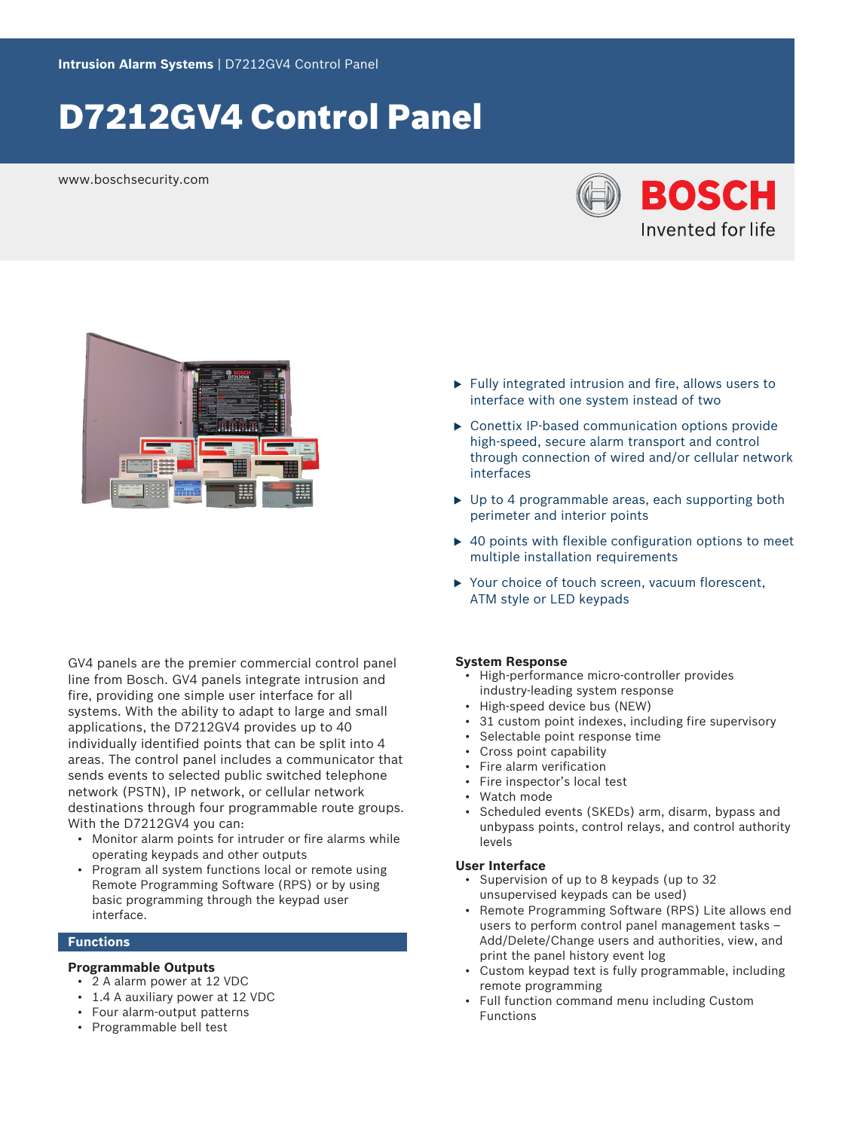# D7212GV4 Control Panel

www.boschsecurity.com





GV4 panels are the premier commercial control panel line from Bosch. GV4 panels integrate intrusion and fire, providing one simple user interface for all systems. With the ability to adapt to large and small applications, the D7212GV4 provides up to 40 individually identified points that can be split into 4 areas. The control panel includes a communicator that sends events to selected public switched telephone network (PSTN), IP network, or cellular network destinations through four programmable route groups. With the D7212GV4 you can:

- Monitor alarm points for intruder or fire alarms while operating keypads and other outputs
- Program all system functions local or remote using Remote Programming Software (RPS) or by using basic programming through the keypad user interface.

#### **Functions**

#### **Programmable Outputs**

- 2 A alarm power at 12 VDC
- 1.4 A auxiliary power at 12 VDC
- Four alarm-output patterns
- Programmable bell test
- $\blacktriangleright$  Fully integrated intrusion and fire, allows users to interface with one system instead of two
- $\triangleright$  Conettix IP-based communication options provide high-speed, secure alarm transport and control through connection of wired and/or cellular network interfaces
- $\triangleright$  Up to 4 programmable areas, each supporting both perimeter and interior points
- $\triangleright$  40 points with flexible configuration options to meet multiple installation requirements
- $\triangleright$  Your choice of touch screen, vacuum florescent, ATM style or LED keypads

#### **System Response**

- High-performance micro‑controller provides industry‑leading system response
- High-speed device bus (NEW)
- 31 custom point indexes, including fire supervisory
- Selectable point response time
- Cross point capability
- Fire alarm verification
- Fire inspector's local test
- Watch mode
- Scheduled events (SKEDs) arm, disarm, bypass and unbypass points, control relays, and control authority levels

#### **User Interface**

- Supervision of up to 8 keypads (up to 32 unsupervised keypads can be used)
- Remote Programming Software (RPS) Lite allows end users to perform control panel management tasks – Add/Delete/Change users and authorities, view, and print the panel history event log
- Custom keypad text is fully programmable, including remote programming
- Full function command menu including Custom Functions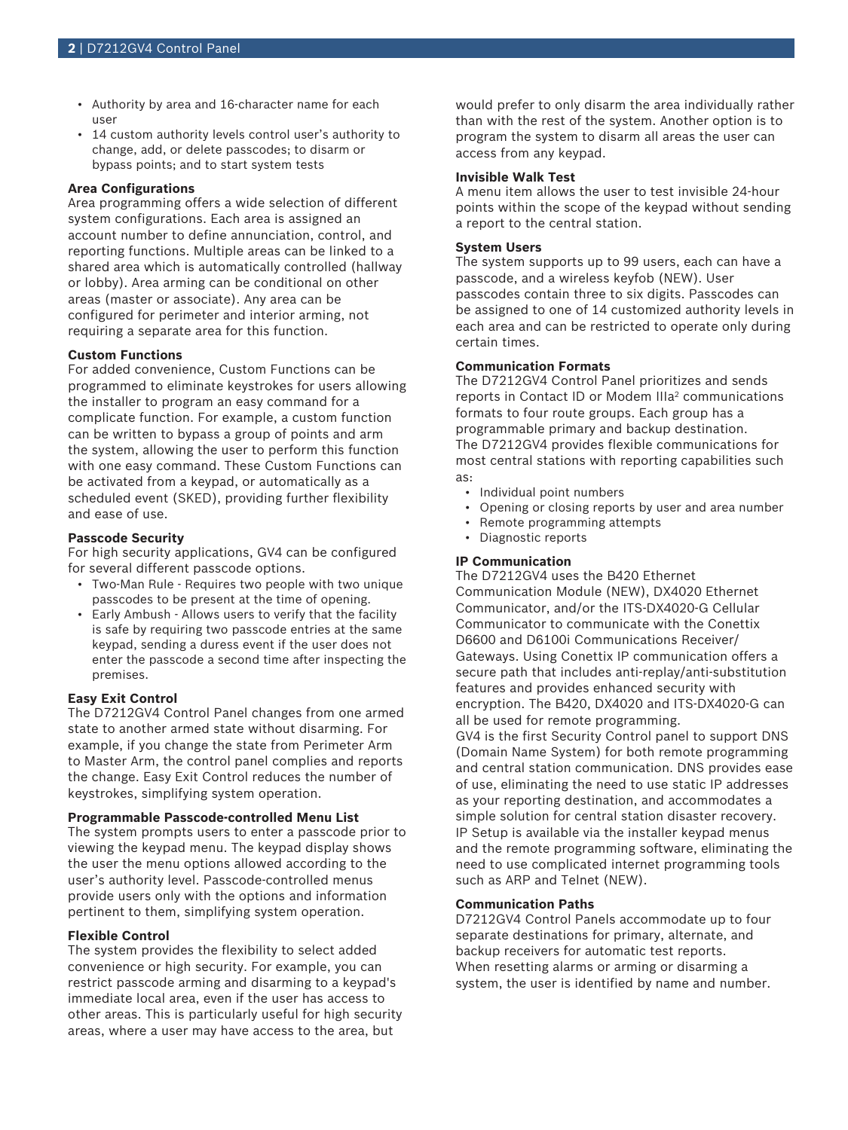- Authority by area and 16‑character name for each user
- 14 custom authority levels control user's authority to change, add, or delete passcodes; to disarm or bypass points; and to start system tests

#### **Area Configurations**

Area programming offers a wide selection of different system configurations. Each area is assigned an account number to define annunciation, control, and reporting functions. Multiple areas can be linked to a shared area which is automatically controlled (hallway or lobby). Area arming can be conditional on other areas (master or associate). Any area can be configured for perimeter and interior arming, not requiring a separate area for this function.

#### **Custom Functions**

For added convenience, Custom Functions can be programmed to eliminate keystrokes for users allowing the installer to program an easy command for a complicate function. For example, a custom function can be written to bypass a group of points and arm the system, allowing the user to perform this function with one easy command. These Custom Functions can be activated from a keypad, or automatically as a scheduled event (SKED), providing further flexibility and ease of use.

#### **Passcode Security**

For high security applications, GV4 can be configured for several different passcode options.

- Two-Man Rule Requires two people with two unique passcodes to be present at the time of opening.
- Early Ambush Allows users to verify that the facility is safe by requiring two passcode entries at the same keypad, sending a duress event if the user does not enter the passcode a second time after inspecting the premises.

#### **Easy Exit Control**

The D7212GV4 Control Panel changes from one armed state to another armed state without disarming. For example, if you change the state from Perimeter Arm to Master Arm, the control panel complies and reports the change. Easy Exit Control reduces the number of keystrokes, simplifying system operation.

#### **Programmable Passcode‑controlled Menu List**

The system prompts users to enter a passcode prior to viewing the keypad menu. The keypad display shows the user the menu options allowed according to the user's authority level. Passcode-controlled menus provide users only with the options and information pertinent to them, simplifying system operation.

#### **Flexible Control**

The system provides the flexibility to select added convenience or high security. For example, you can restrict passcode arming and disarming to a keypad's immediate local area, even if the user has access to other areas. This is particularly useful for high security areas, where a user may have access to the area, but

would prefer to only disarm the area individually rather than with the rest of the system. Another option is to program the system to disarm all areas the user can access from any keypad.

#### **Invisible Walk Test**

A menu item allows the user to test invisible 24‑hour points within the scope of the keypad without sending a report to the central station.

#### **System Users**

The system supports up to 99 users, each can have a passcode, and a wireless keyfob (NEW). User passcodes contain three to six digits. Passcodes can be assigned to one of 14 customized authority levels in each area and can be restricted to operate only during certain times.

#### **Communication Formats**

The D7212GV4 Control Panel prioritizes and sends reports in Contact ID or Modem IIIa<sup>2</sup> communications formats to four route groups. Each group has a programmable primary and backup destination. The D7212GV4 provides flexible communications for most central stations with reporting capabilities such as:

- Individual point numbers
- Opening or closing reports by user and area number
- Remote programming attempts
- Diagnostic reports

#### **IP Communication**

The D7212GV4 uses the B420 Ethernet Communication Module (NEW), DX4020 Ethernet Communicator, and/or the ITS‑DX4020‑G Cellular Communicator to communicate with the Conettix D6600 and D6100i Communications Receiver/ Gateways. Using Conettix IP communication offers a secure path that includes anti-replay/anti-substitution features and provides enhanced security with encryption. The B420, DX4020 and ITS‑DX4020‑G can all be used for remote programming.

GV4 is the first Security Control panel to support DNS (Domain Name System) for both remote programming and central station communication. DNS provides ease of use, eliminating the need to use static IP addresses as your reporting destination, and accommodates a simple solution for central station disaster recovery. IP Setup is available via the installer keypad menus and the remote programming software, eliminating the need to use complicated internet programming tools such as ARP and Telnet (NEW).

#### **Communication Paths**

D7212GV4 Control Panels accommodate up to four separate destinations for primary, alternate, and backup receivers for automatic test reports. When resetting alarms or arming or disarming a system, the user is identified by name and number.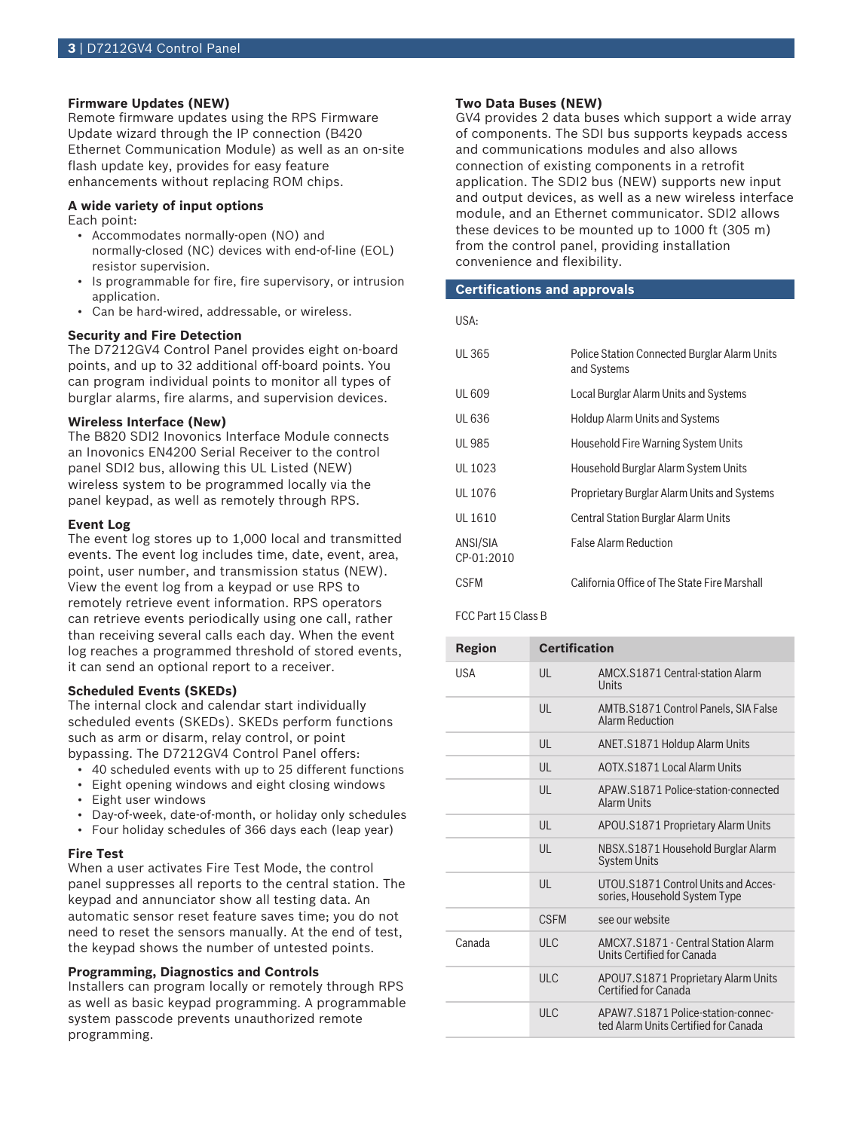#### **Firmware Updates (NEW)**

Remote firmware updates using the RPS Firmware Update wizard through the IP connection (B420 Ethernet Communication Module) as well as an on-site flash update key, provides for easy feature enhancements without replacing ROM chips.

#### **A wide variety of input options**

Each point:

- Accommodates normally‑open (NO) and normally-closed (NC) devices with end-of-line (EOL) resistor supervision.
- Is programmable for fire, fire supervisory, or intrusion application.
- Can be hard-wired, addressable, or wireless.

#### **Security and Fire Detection**

The D7212GV4 Control Panel provides eight on-board points, and up to 32 additional off‑board points. You can program individual points to monitor all types of burglar alarms, fire alarms, and supervision devices.

#### **Wireless Interface (New)**

The B820 SDI2 Inovonics Interface Module connects an Inovonics EN4200 Serial Receiver to the control panel SDI2 bus, allowing this UL Listed (NEW) wireless system to be programmed locally via the panel keypad, as well as remotely through RPS.

#### **Event Log**

The event log stores up to 1,000 local and transmitted events. The event log includes time, date, event, area, point, user number, and transmission status (NEW). View the event log from a keypad or use RPS to remotely retrieve event information. RPS operators can retrieve events periodically using one call, rather than receiving several calls each day. When the event log reaches a programmed threshold of stored events, it can send an optional report to a receiver.

#### **Scheduled Events (SKEDs)**

The internal clock and calendar start individually scheduled events (SKEDs). SKEDs perform functions such as arm or disarm, relay control, or point bypassing. The D7212GV4 Control Panel offers:

- 40 scheduled events with up to 25 different functions
- Eight opening windows and eight closing windows
- Eight user windows
- Day-of-week, date-of-month, or holiday only schedules
- Four holiday schedules of 366 days each (leap year)

#### **Fire Test**

When a user activates Fire Test Mode, the control panel suppresses all reports to the central station. The keypad and annunciator show all testing data. An automatic sensor reset feature saves time; you do not need to reset the sensors manually. At the end of test, the keypad shows the number of untested points.

#### **Programming, Diagnostics and Controls**

Installers can program locally or remotely through RPS as well as basic keypad programming. A programmable system passcode prevents unauthorized remote programming.

#### **Two Data Buses (NEW)**

GV4 provides 2 data buses which support a wide array of components. The SDI bus supports keypads access and communications modules and also allows connection of existing components in a retrofit application. The SDI2 bus (NEW) supports new input and output devices, as well as a new wireless interface module, and an Ethernet communicator. SDI2 allows these devices to be mounted up to 1000 ft (305 m) from the control panel, providing installation convenience and flexibility.

#### **Certifications and approvals**

| UL 365                 | Police Station Connected Burglar Alarm Units<br>and Systems |
|------------------------|-------------------------------------------------------------|
| UL 609                 | Local Burglar Alarm Units and Systems                       |
| UL 636                 | Holdup Alarm Units and Systems                              |
| UL 985                 | <b>Household Fire Warning System Units</b>                  |
| UL 1023                | Household Burglar Alarm System Units                        |
| UL 1076                | Proprietary Burglar Alarm Units and Systems                 |
| UL 1610                | <b>Central Station Burglar Alarm Units</b>                  |
| ANSI/SIA<br>CP-01:2010 | <b>False Alarm Reduction</b>                                |
| CSFM                   | California Office of The State Fire Marshall                |

#### FCC Part 15 Class B

| Region     | <b>Certification</b> |                                                                            |
|------------|----------------------|----------------------------------------------------------------------------|
| <b>USA</b> | $\mathsf{U}$         | AMCX.S1871 Central-station Alarm<br>Units                                  |
|            | $\mathsf{U}$         | AMTB.S1871 Control Panels, SIA False<br><b>Alarm Reduction</b>             |
|            | UL                   | ANET.S1871 Holdup Alarm Units                                              |
|            | $\mathsf{U}$         | AOTX.S1871 Local Alarm Units                                               |
|            | $\mathsf{U}$         | APAW.S1871 Police-station-connected<br><b>Alarm Units</b>                  |
|            | $\mathsf{U}$         | APOU.S1871 Proprietary Alarm Units                                         |
|            | $\mathsf{U}$         | NBSX.S1871 Household Burglar Alarm<br><b>System Units</b>                  |
|            | $\mathsf{U}$         | UTOU.S1871 Control Units and Acces-<br>sories, Household System Type       |
|            | <b>CSEM</b>          | see our website                                                            |
| Canada     | ULC                  | AMCX7.S1871 - Central Station Alarm<br>Units Certified for Canada          |
|            | ULC                  | APOU7.S1871 Proprietary Alarm Units<br>Certified for Canada                |
|            | ULC                  | APAW7.S1871 Police-station-connec-<br>ted Alarm Units Certified for Canada |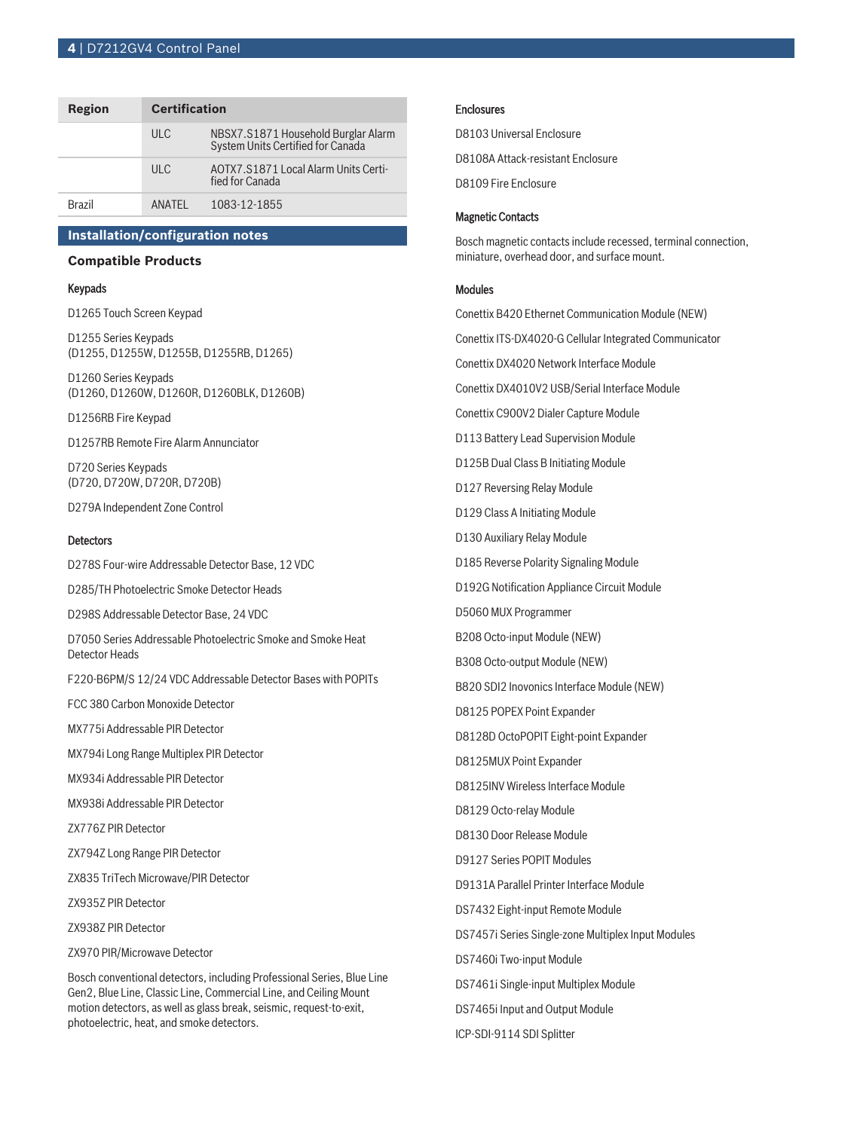#### **4** | D7212GV4 Control Panel

| Region        | <b>Certification</b> |                                                                          |
|---------------|----------------------|--------------------------------------------------------------------------|
|               | ULC                  | NBSX7.S1871 Household Burglar Alarm<br>System Units Certified for Canada |
|               | ULC.                 | AOTX7.S1871 Local Alarm Units Certi-<br>fied for Canada                  |
| <b>Brazil</b> | ANATFI               | 1083-12-1855                                                             |

#### **Installation/configuration notes**

#### **Compatible Products**

#### Keypads

D1265 Touch Screen Keypad

D1255 Series Keypads (D1255, D1255W, D1255B, D1255RB, D1265)

D1260 Series Keypads (D1260, D1260W, D1260R, D1260BLK, D1260B)

D1256RB Fire Keypad

D1257RB Remote Fire Alarm Annunciator

D720 Series Keypads (D720, D720W, D720R, D720B)

D279A Independent Zone Control

#### **Detectors**

D278S Four‑wire Addressable Detector Base, 12 VDC

D285/TH Photoelectric Smoke Detector Heads

D298S Addressable Detector Base, 24 VDC

D7050 Series Addressable Photoelectric Smoke and Smoke Heat Detector Heads

F220‑B6PM/S 12/24 VDC Addressable Detector Bases with POPITs

FCC 380 Carbon Monoxide Detector

MX775i Addressable PIR Detector

MX794i Long Range Multiplex PIR Detector

MX934i Addressable PIR Detector

MX938i Addressable PIR Detector

ZX776Z PIR Detector

ZX794Z Long Range PIR Detector

ZX835 TriTech Microwave/PIR Detector

ZX935Z PIR Detector

ZX938Z PIR Detector

ZX970 PIR/Microwave Detector

Bosch conventional detectors, including Professional Series, Blue Line Gen2, Blue Line, Classic Line, Commercial Line, and Ceiling Mount motion detectors, as well as glass break, seismic, request-to-exit, photoelectric, heat, and smoke detectors.

#### Enclosures

D8103 Universal Enclosure D8108A Attack‑resistant Enclosure D8109 Fire Enclosure

#### Magnetic Contacts

Bosch magnetic contacts include recessed, terminal connection, miniature, overhead door, and surface mount.

#### Modules

Conettix B420 Ethernet Communication Module (NEW) Conettix ITS‑DX4020-G Cellular Integrated Communicator Conettix DX4020 Network Interface Module Conettix DX4010V2 USB/Serial Interface Module Conettix C900V2 Dialer Capture Module D113 Battery Lead Supervision Module D125B Dual Class B Initiating Module D127 Reversing Relay Module D129 Class A Initiating Module D130 Auxiliary Relay Module D185 Reverse Polarity Signaling Module D192G Notification Appliance Circuit Module D5060 MUX Programmer B208 Octo-input Module (NEW) B308 Octo-output Module (NEW) B820 SDI2 Inovonics Interface Module (NEW) D8125 POPEX Point Expander D8128D OctoPOPIT Eight‑point Expander D8125MUX Point Expander D8125INV Wireless Interface Module D8129 Octo-relay Module D8130 Door Release Module D9127 Series POPIT Modules D9131A Parallel Printer Interface Module DS7432 Eight‑input Remote Module DS7457i Series Single‑zone Multiplex Input Modules DS7460i Two‑input Module DS7461i Single‑input Multiplex Module DS7465i Input and Output Module ICP-SDI-9114 SDI Splitter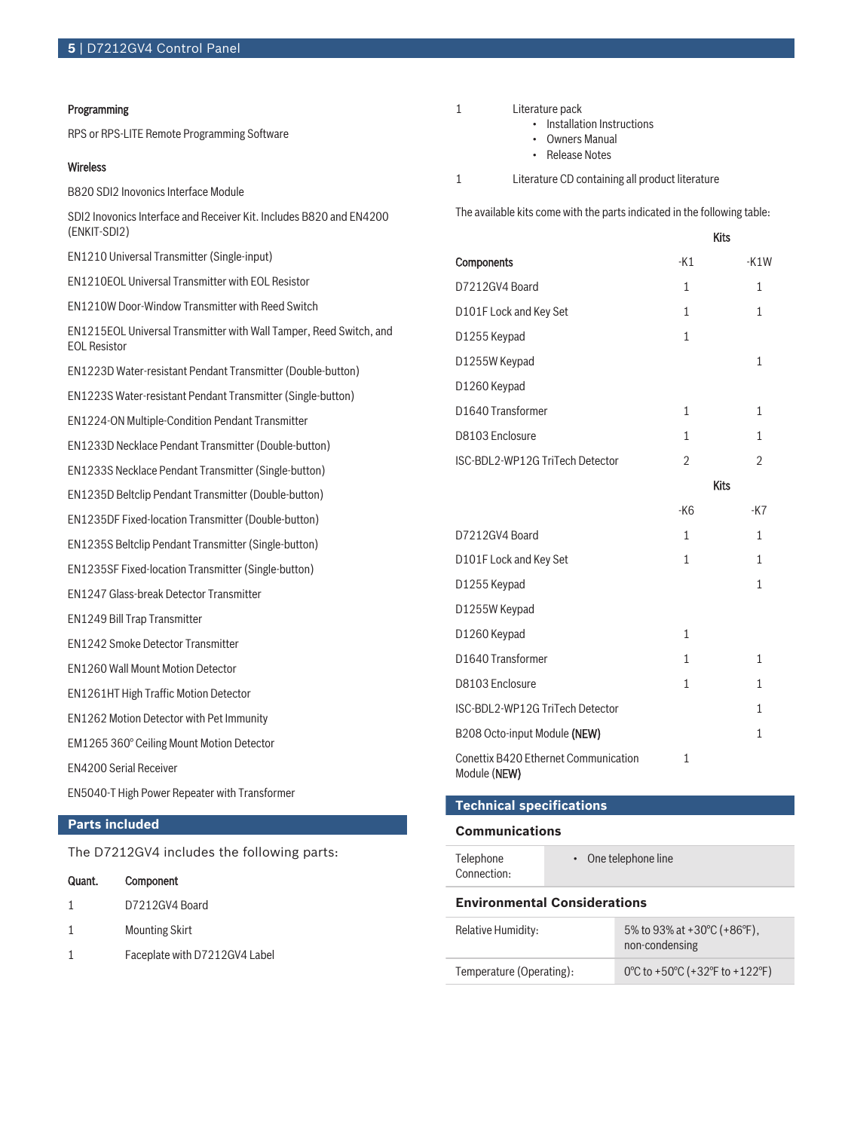#### Programming

RPS or RPS‑LITE Remote Programming Software

#### Wireless

B820 SDI2 Inovonics Interface Module

SDI2 Inovonics Interface and Receiver Kit. Includes B820 and EN4200 (ENKIT-SDI2)

EN1210 Universal Transmitter (Single-input)

EN1210EOL Universal Transmitter with EOL Resistor

EN1210W Door-Window Transmitter with Reed Switch

EN1215EOL Universal Transmitter with Wall Tamper, Reed Switch, and EOL Resistor

EN1223D Water‑resistant Pendant Transmitter (Double‑button)

EN1223S Water‑resistant Pendant Transmitter (Single‑button)

EN1224-ON Multiple-Condition Pendant Transmitter

EN1233D Necklace Pendant Transmitter (Double-button)

EN1233S Necklace Pendant Transmitter (Single-button)

EN1235D Beltclip Pendant Transmitter (Double-button)

EN1235DF Fixed-location Transmitter (Double-button)

EN1235S Beltclip Pendant Transmitter (Single-button)

EN1235SF Fixed-location Transmitter (Single-button)

EN1247 Glass-break Detector Transmitter

EN1249 Bill Trap Transmitter

EN1242 Smoke Detector Transmitter

EN1260 Wall Mount Motion Detector

EN1261HT High Traffic Motion Detector

EN1262 Motion Detector with Pet Immunity

EM1265 360° Ceiling Mount Motion Detector

EN4200 Serial Receiver

EN5040-T High Power Repeater with Transformer

## **Parts included**

The D7212GV4 includes the following parts:

| Quant. | Component                     |
|--------|-------------------------------|
| 1      | D7212GV4 Board                |
| 1      | <b>Mounting Skirt</b>         |
|        | Faceplate with D7212GV4 Label |

- 1 Literature pack
	- Installation Instructions
	- Owners Manual
	- Release Notes
- 1 Literature CD containing all product literature

The available kits come with the parts indicated in the following table:

|                                                             | Kits           |                |
|-------------------------------------------------------------|----------------|----------------|
| Components                                                  | $-K1$          | $-K1W$         |
| D7212GV4 Board                                              | 1              | 1              |
| D101F Lock and Key Set                                      | $\mathbf{1}$   | $\mathbf{1}$   |
| D1255 Keypad                                                | $\mathbf{1}$   |                |
| D1255W Keypad                                               |                | $\mathbf{1}$   |
| D1260 Keypad                                                |                |                |
| D1640 Transformer                                           | $\mathbf{1}$   | $\mathbf{1}$   |
| D8103 Enclosure                                             | $\mathbf{1}$   | $\mathbf{1}$   |
| ISC-BDL2-WP12G TriTech Detector                             | $\overline{2}$ | $\overline{2}$ |
|                                                             | <b>Kits</b>    |                |
|                                                             | $-K6$          | $-K7$          |
| D7212GV4 Board                                              | $\mathbf{1}$   | $\mathbf{1}$   |
| D101F Lock and Key Set                                      | $\mathbf{1}$   | 1              |
| D1255 Keypad                                                |                | $\mathbf{1}$   |
| D1255W Keypad                                               |                |                |
| D1260 Keypad                                                | $\mathbf{1}$   |                |
| D1640 Transformer                                           | 1              | 1              |
| D8103 Enclosure                                             | $\mathbf{1}$   | 1              |
| ISC-BDL2-WP12G TriTech Detector                             |                | $\mathbf{1}$   |
| B208 Octo-input Module (NEW)                                |                | $\mathbf{1}$   |
| <b>Conettix B420 Ethernet Communication</b><br>Module (NEW) | $\overline{1}$ |                |

#### **Technical specifications**

#### **Communications**

| Telephone<br>Connection:            | $\cdot$ One telephone line |                                                                     |
|-------------------------------------|----------------------------|---------------------------------------------------------------------|
| <b>Environmental Considerations</b> |                            |                                                                     |
| Relative Humidity:                  |                            | 5% to 93% at +30 $^{\circ}$ C (+86 $^{\circ}$ F),<br>non-condensing |
| Temperature (Operating):            |                            | 0°C to +50°C (+32°F to +122°F)                                      |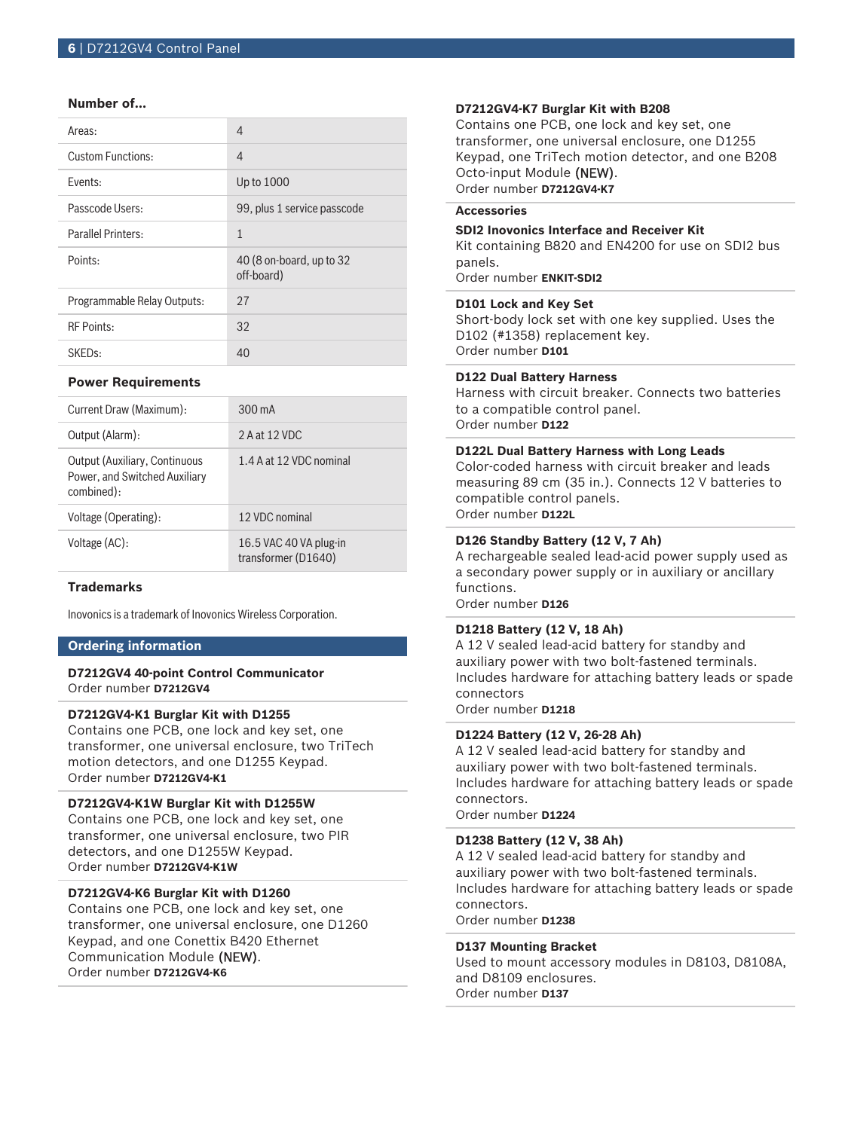#### **Number of…**

| Areas:                      | 4                                      |
|-----------------------------|----------------------------------------|
| <b>Custom Functions:</b>    | 4                                      |
| Fvents:                     | Up to 1000                             |
| Passcode Users:             | 99, plus 1 service passcode            |
| <b>Parallel Printers:</b>   | $\mathbf{1}$                           |
| Points:                     | 40 (8 on-board, up to 32<br>off-board) |
| Programmable Relay Outputs: | 27                                     |
| <b>RF Points:</b>           | 32                                     |
| SKED <sub>S</sub> :         | 40                                     |

#### **Power Requirements**

| Current Draw (Maximum):                                                             | $300 \text{ mA}$                              |
|-------------------------------------------------------------------------------------|-----------------------------------------------|
| Output (Alarm):                                                                     | 2 A at 12 VDC                                 |
| <b>Output (Auxiliary, Continuous</b><br>Power, and Switched Auxiliary<br>combined): | 1.4 A at 12 VDC nominal                       |
| Voltage (Operating):                                                                | 12 VDC nominal                                |
| Voltage (AC):                                                                       | 16.5 VAC 40 VA plug-in<br>transformer (D1640) |

#### **Trademarks**

Inovonics is a trademark of Inovonics Wireless Corporation.

#### **Ordering information**

#### **D7212GV4 40-point Control Communicator** Order number **D7212GV4**

#### **D7212GV4-K1 Burglar Kit with D1255**

Contains one PCB, one lock and key set, one transformer, one universal enclosure, two TriTech motion detectors, and one D1255 Keypad. Order number **D7212GV4-K1**

#### **D7212GV4-K1W Burglar Kit with D1255W**

Contains one PCB, one lock and key set, one transformer, one universal enclosure, two PIR detectors, and one D1255W Keypad. Order number **D7212GV4-K1W**

### **D7212GV4-K6 Burglar Kit with D1260**

Contains one PCB, one lock and key set, one transformer, one universal enclosure, one D1260 Keypad, and one Conettix B420 Ethernet Communication Module (NEW). Order number **D7212GV4-K6**

#### **D7212GV4-K7 Burglar Kit with B208**

Contains one PCB, one lock and key set, one transformer, one universal enclosure, one D1255 Keypad, one TriTech motion detector, and one B208 Octo-input Module (NEW). Order number **D7212GV4-K7**

#### **Accessories**

#### **SDI2 Inovonics Interface and Receiver Kit**

Kit containing B820 and EN4200 for use on SDI2 bus panels.

Order number **ENKIT-SDI2**

#### **D101 Lock and Key Set**

Short-body lock set with one key supplied. Uses the D102 (#1358) replacement key. Order number **D101**

#### **D122 Dual Battery Harness**

Harness with circuit breaker. Connects two batteries to a compatible control panel. Order number **D122**

#### **D122L Dual Battery Harness with Long Leads**

Color-coded harness with circuit breaker and leads measuring 89 cm (35 in.). Connects 12 V batteries to compatible control panels. Order number **D122L**

### **D126 Standby Battery (12 V, 7 Ah)**

A rechargeable sealed lead‑acid power supply used as a secondary power supply or in auxiliary or ancillary functions.

Order number **D126**

#### **D1218 Battery (12 V, 18 Ah)**

A 12 V sealed lead-acid battery for standby and auxiliary power with two bolt-fastened terminals. Includes hardware for attaching battery leads or spade connectors

Order number **D1218**

#### **D1224 Battery (12 V, 26‑28 Ah)**

A 12 V sealed lead‑acid battery for standby and auxiliary power with two bolt-fastened terminals. Includes hardware for attaching battery leads or spade connectors.

Order number **D1224**

#### **D1238 Battery (12 V, 38 Ah)**

A 12 V sealed lead-acid battery for standby and auxiliary power with two bolt-fastened terminals. Includes hardware for attaching battery leads or spade connectors. Order number **D1238**

**D137 Mounting Bracket**

Used to mount accessory modules in D8103, D8108A, and D8109 enclosures. Order number **D137**